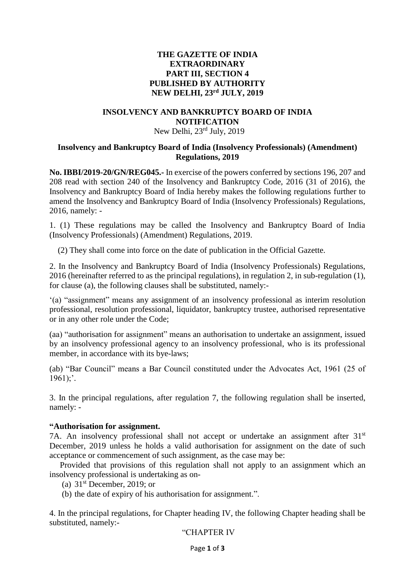# **THE GAZETTE OF INDIA EXTRAORDINARY PART III, SECTION 4 PUBLISHED BY AUTHORITY NEW DELHI, 23rd JULY, 2019**

# **INSOLVENCY AND BANKRUPTCY BOARD OF INDIA NOTIFICATION**

# New Delhi, 23rd July, 2019

# **Insolvency and Bankruptcy Board of India (Insolvency Professionals) (Amendment) Regulations, 2019**

**No. IBBI/2019-20/GN/REG045.-** In exercise of the powers conferred by sections 196, 207 and 208 read with section 240 of the Insolvency and Bankruptcy Code, 2016 (31 of 2016), the Insolvency and Bankruptcy Board of India hereby makes the following regulations further to amend the Insolvency and Bankruptcy Board of India (Insolvency Professionals) Regulations, 2016, namely: -

1. (1) These regulations may be called the Insolvency and Bankruptcy Board of India (Insolvency Professionals) (Amendment) Regulations, 2019.

(2) They shall come into force on the date of publication in the Official Gazette.

2. In the Insolvency and Bankruptcy Board of India (Insolvency Professionals) Regulations, 2016 (hereinafter referred to as the principal regulations), in regulation 2, in sub-regulation (1), for clause (a), the following clauses shall be substituted, namely:-

'(a) "assignment" means any assignment of an insolvency professional as interim resolution professional, resolution professional, liquidator, bankruptcy trustee, authorised representative or in any other role under the Code;

(aa) "authorisation for assignment" means an authorisation to undertake an assignment, issued by an insolvency professional agency to an insolvency professional, who is its professional member, in accordance with its bye-laws;

(ab) "Bar Council" means a Bar Council constituted under the Advocates Act, 1961 (25 of  $1961$ ;'.

3. In the principal regulations, after regulation 7, the following regulation shall be inserted, namely: -

#### **"Authorisation for assignment.**

7A. An insolvency professional shall not accept or undertake an assignment after 31<sup>st</sup> December, 2019 unless he holds a valid authorisation for assignment on the date of such acceptance or commencement of such assignment, as the case may be:

Provided that provisions of this regulation shall not apply to an assignment which an insolvency professional is undertaking as on-

- (a)  $31<sup>st</sup>$  December, 2019; or
- (b) the date of expiry of his authorisation for assignment.".

4. In the principal regulations, for Chapter heading IV, the following Chapter heading shall be substituted, namely:-

"CHAPTER IV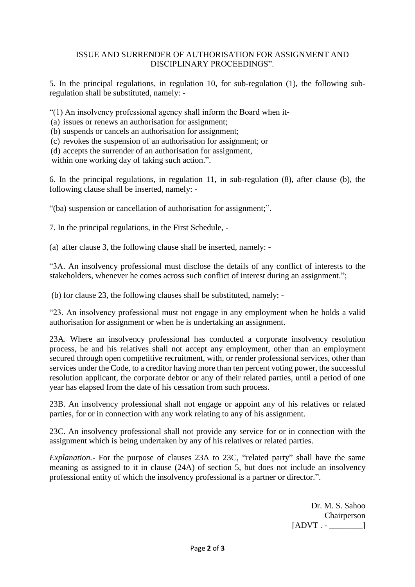# ISSUE AND SURRENDER OF AUTHORISATION FOR ASSIGNMENT AND DISCIPLINARY PROCEEDINGS".

5. In the principal regulations, in regulation 10, for sub-regulation (1), the following subregulation shall be substituted, namely: -

"(1) An insolvency professional agency shall inform the Board when it-

(a) issues or renews an authorisation for assignment;

(b) suspends or cancels an authorisation for assignment;

(c) revokes the suspension of an authorisation for assignment; or

(d) accepts the surrender of an authorisation for assignment,

within one working day of taking such action.".

6. In the principal regulations, in regulation 11, in sub-regulation (8), after clause (b), the following clause shall be inserted, namely: -

"(ba) suspension or cancellation of authorisation for assignment;".

7. In the principal regulations, in the First Schedule, -

(a) after clause 3, the following clause shall be inserted, namely: -

"3A. An insolvency professional must disclose the details of any conflict of interests to the stakeholders, whenever he comes across such conflict of interest during an assignment.";

(b) for clause 23, the following clauses shall be substituted, namely: -

"23. An insolvency professional must not engage in any employment when he holds a valid authorisation for assignment or when he is undertaking an assignment.

23A. Where an insolvency professional has conducted a corporate insolvency resolution process, he and his relatives shall not accept any employment, other than an employment secured through open competitive recruitment, with, or render professional services, other than services under the Code, to a creditor having more than ten percent voting power, the successful resolution applicant, the corporate debtor or any of their related parties, until a period of one year has elapsed from the date of his cessation from such process.

23B. An insolvency professional shall not engage or appoint any of his relatives or related parties, for or in connection with any work relating to any of his assignment.

23C. An insolvency professional shall not provide any service for or in connection with the assignment which is being undertaken by any of his relatives or related parties.

*Explanation.-* For the purpose of clauses 23A to 23C, "related party" shall have the same meaning as assigned to it in clause (24A) of section 5, but does not include an insolvency professional entity of which the insolvency professional is a partner or director.".

> Dr. M. S. Sahoo Chairperson  $[ADVT - - ]$